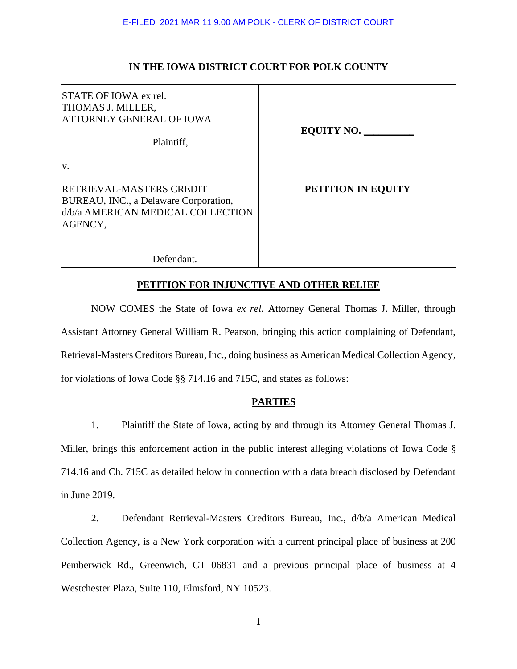# **IN THE IOWA DISTRICT COURT FOR POLK COUNTY**

| STATE OF IOWA ex rel.<br>THOMAS J. MILLER,<br>ATTORNEY GENERAL OF IOWA<br>Plaintiff,                                    | <b>EQUITY NO.</b>  |
|-------------------------------------------------------------------------------------------------------------------------|--------------------|
| V.<br>RETRIEVAL-MASTERS CREDIT<br>BUREAU, INC., a Delaware Corporation,<br>d/b/a AMERICAN MEDICAL COLLECTION<br>AGENCY, | PETITION IN EQUITY |

Defendant.

# **PETITION FOR INJUNCTIVE AND OTHER RELIEF**

NOW COMES the State of Iowa *ex rel.* Attorney General Thomas J. Miller, through Assistant Attorney General William R. Pearson, bringing this action complaining of Defendant, Retrieval-Masters Creditors Bureau, Inc., doing business as American Medical Collection Agency, for violations of Iowa Code §§ 714.16 and 715C, and states as follows:

# **PARTIES**

1. Plaintiff the State of Iowa, acting by and through its Attorney General Thomas J. Miller, brings this enforcement action in the public interest alleging violations of Iowa Code § 714.16 and Ch. 715C as detailed below in connection with a data breach disclosed by Defendant in June 2019.

2. Defendant Retrieval-Masters Creditors Bureau, Inc., d/b/a American Medical Collection Agency, is a New York corporation with a current principal place of business at 200 Pemberwick Rd., Greenwich, CT 06831 and a previous principal place of business at 4 Westchester Plaza, Suite 110, Elmsford, NY 10523.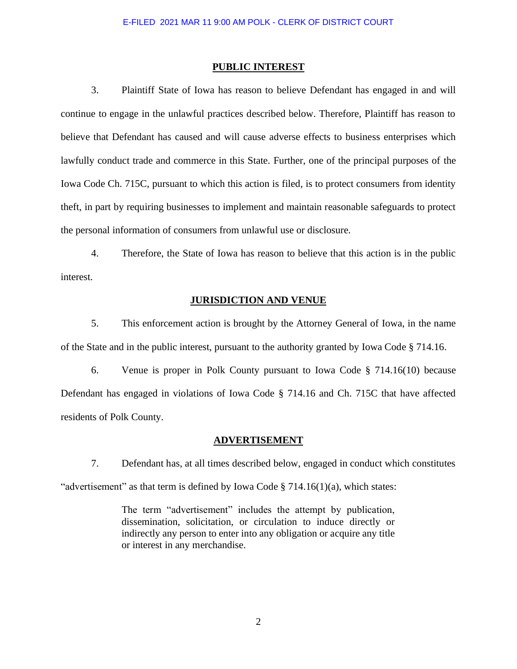### **PUBLIC INTEREST**

3. Plaintiff State of Iowa has reason to believe Defendant has engaged in and will continue to engage in the unlawful practices described below. Therefore, Plaintiff has reason to believe that Defendant has caused and will cause adverse effects to business enterprises which lawfully conduct trade and commerce in this State. Further, one of the principal purposes of the Iowa Code Ch. 715C, pursuant to which this action is filed, is to protect consumers from identity theft, in part by requiring businesses to implement and maintain reasonable safeguards to protect the personal information of consumers from unlawful use or disclosure.

4. Therefore, the State of Iowa has reason to believe that this action is in the public interest.

# **JURISDICTION AND VENUE**

5. This enforcement action is brought by the Attorney General of Iowa, in the name of the State and in the public interest, pursuant to the authority granted by Iowa Code § 714.16.

6. Venue is proper in Polk County pursuant to Iowa Code § 714.16(10) because Defendant has engaged in violations of Iowa Code § 714.16 and Ch. 715C that have affected residents of Polk County.

#### **ADVERTISEMENT**

7. Defendant has, at all times described below, engaged in conduct which constitutes "advertisement" as that term is defined by Iowa Code  $\S 714.16(1)(a)$ , which states:

> The term "advertisement" includes the attempt by publication, dissemination, solicitation, or circulation to induce directly or indirectly any person to enter into any obligation or acquire any title or interest in any merchandise.

> > 2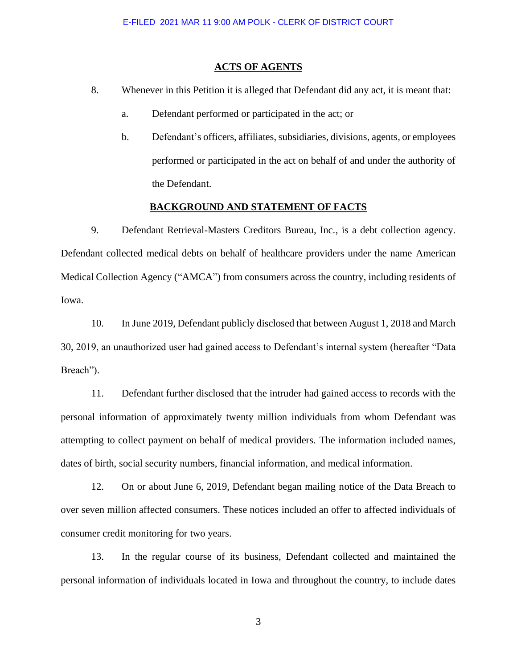### **ACTS OF AGENTS**

- 8. Whenever in this Petition it is alleged that Defendant did any act, it is meant that:
	- a. Defendant performed or participated in the act; or
	- b. Defendant's officers, affiliates, subsidiaries, divisions, agents, or employees performed or participated in the act on behalf of and under the authority of the Defendant.

### **BACKGROUND AND STATEMENT OF FACTS**

9. Defendant Retrieval-Masters Creditors Bureau, Inc., is a debt collection agency. Defendant collected medical debts on behalf of healthcare providers under the name American Medical Collection Agency ("AMCA") from consumers across the country, including residents of Iowa.

10. In June 2019, Defendant publicly disclosed that between August 1, 2018 and March 30, 2019, an unauthorized user had gained access to Defendant's internal system (hereafter "Data Breach").

11. Defendant further disclosed that the intruder had gained access to records with the personal information of approximately twenty million individuals from whom Defendant was attempting to collect payment on behalf of medical providers. The information included names, dates of birth, social security numbers, financial information, and medical information.

12. On or about June 6, 2019, Defendant began mailing notice of the Data Breach to over seven million affected consumers. These notices included an offer to affected individuals of consumer credit monitoring for two years.

13. In the regular course of its business, Defendant collected and maintained the personal information of individuals located in Iowa and throughout the country, to include dates

3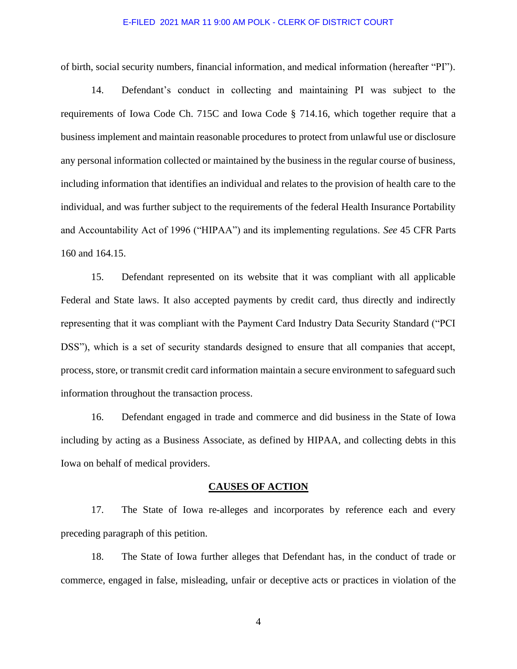### E-FILED 2021 MAR 11 9:00 AM POLK - CLERK OF DISTRICT COURT

of birth, social security numbers, financial information, and medical information (hereafter "PI").

14. Defendant's conduct in collecting and maintaining PI was subject to the requirements of Iowa Code Ch. 715C and Iowa Code § 714.16, which together require that a business implement and maintain reasonable procedures to protect from unlawful use or disclosure any personal information collected or maintained by the business in the regular course of business, including information that identifies an individual and relates to the provision of health care to the individual, and was further subject to the requirements of the federal Health Insurance Portability and Accountability Act of 1996 ("HIPAA") and its implementing regulations. *See* 45 CFR Parts 160 and 164.15.

15. Defendant represented on its website that it was compliant with all applicable Federal and State laws. It also accepted payments by credit card, thus directly and indirectly representing that it was compliant with the Payment Card Industry Data Security Standard ("PCI DSS"), which is a set of security standards designed to ensure that all companies that accept, process, store, or transmit credit card information maintain a secure environment to safeguard such information throughout the transaction process.

16. Defendant engaged in trade and commerce and did business in the State of Iowa including by acting as a Business Associate, as defined by HIPAA, and collecting debts in this Iowa on behalf of medical providers.

# **CAUSES OF ACTION**

17. The State of Iowa re-alleges and incorporates by reference each and every preceding paragraph of this petition.

18. The State of Iowa further alleges that Defendant has, in the conduct of trade or commerce, engaged in false, misleading, unfair or deceptive acts or practices in violation of the

4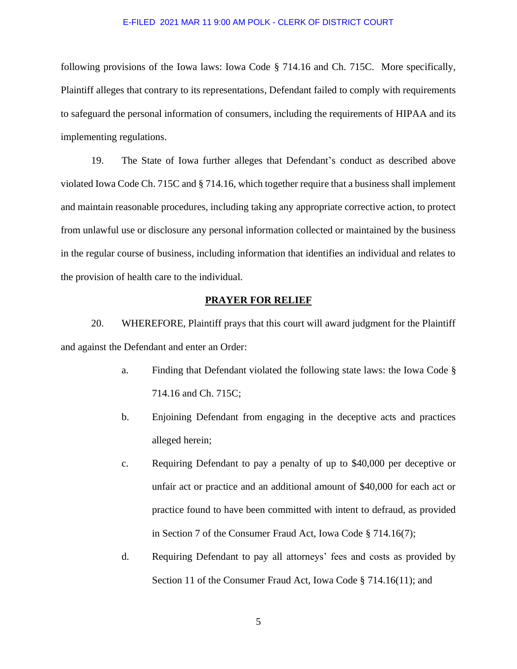### E-FILED 2021 MAR 11 9:00 AM POLK - CLERK OF DISTRICT COURT

following provisions of the Iowa laws: Iowa Code § 714.16 and Ch. 715C. More specifically, Plaintiff alleges that contrary to its representations, Defendant failed to comply with requirements to safeguard the personal information of consumers, including the requirements of HIPAA and its implementing regulations.

19. The State of Iowa further alleges that Defendant's conduct as described above violated Iowa Code Ch. 715C and § 714.16, which together require that a business shall implement and maintain reasonable procedures, including taking any appropriate corrective action, to protect from unlawful use or disclosure any personal information collected or maintained by the business in the regular course of business, including information that identifies an individual and relates to the provision of health care to the individual.

# **PRAYER FOR RELIEF**

20. WHEREFORE, Plaintiff prays that this court will award judgment for the Plaintiff and against the Defendant and enter an Order:

- a. Finding that Defendant violated the following state laws: the Iowa Code § 714.16 and Ch. 715C;
- b. Enjoining Defendant from engaging in the deceptive acts and practices alleged herein;
- c. Requiring Defendant to pay a penalty of up to \$40,000 per deceptive or unfair act or practice and an additional amount of \$40,000 for each act or practice found to have been committed with intent to defraud, as provided in Section 7 of the Consumer Fraud Act, Iowa Code § 714.16(7);
- d. Requiring Defendant to pay all attorneys' fees and costs as provided by Section 11 of the Consumer Fraud Act, Iowa Code § 714.16(11); and